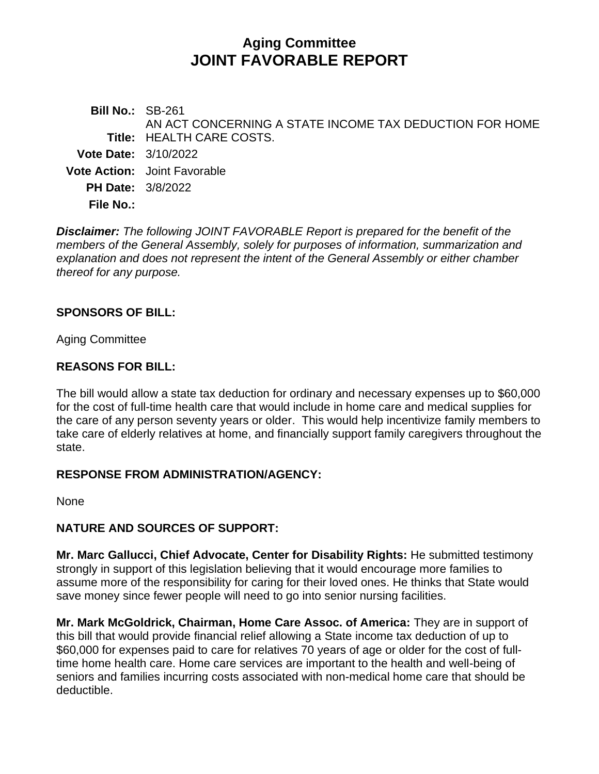# **Aging Committee JOINT FAVORABLE REPORT**

**Bill No.:** SB-261 **Title:** HEALTH CARE COSTS. AN ACT CONCERNING A STATE INCOME TAX DEDUCTION FOR HOME **Vote Date:** 3/10/2022 **Vote Action:** Joint Favorable **PH Date:** 3/8/2022 **File No.:**

*Disclaimer: The following JOINT FAVORABLE Report is prepared for the benefit of the members of the General Assembly, solely for purposes of information, summarization and explanation and does not represent the intent of the General Assembly or either chamber thereof for any purpose.*

#### **SPONSORS OF BILL:**

Aging Committee

#### **REASONS FOR BILL:**

The bill would allow a state tax deduction for ordinary and necessary expenses up to \$60,000 for the cost of full-time health care that would include in home care and medical supplies for the care of any person seventy years or older. This would help incentivize family members to take care of elderly relatives at home, and financially support family caregivers throughout the state.

#### **RESPONSE FROM ADMINISTRATION/AGENCY:**

None

### **NATURE AND SOURCES OF SUPPORT:**

**Mr. Marc Gallucci, Chief Advocate, Center for Disability Rights:** He submitted testimony strongly in support of this legislation believing that it would encourage more families to assume more of the responsibility for caring for their loved ones. He thinks that State would save money since fewer people will need to go into senior nursing facilities.

**Mr. Mark McGoldrick, Chairman, Home Care Assoc. of America:** They are in support of this bill that would provide financial relief allowing a State income tax deduction of up to \$60,000 for expenses paid to care for relatives 70 years of age or older for the cost of fulltime home health care. Home care services are important to the health and well-being of seniors and families incurring costs associated with non-medical home care that should be deductible.